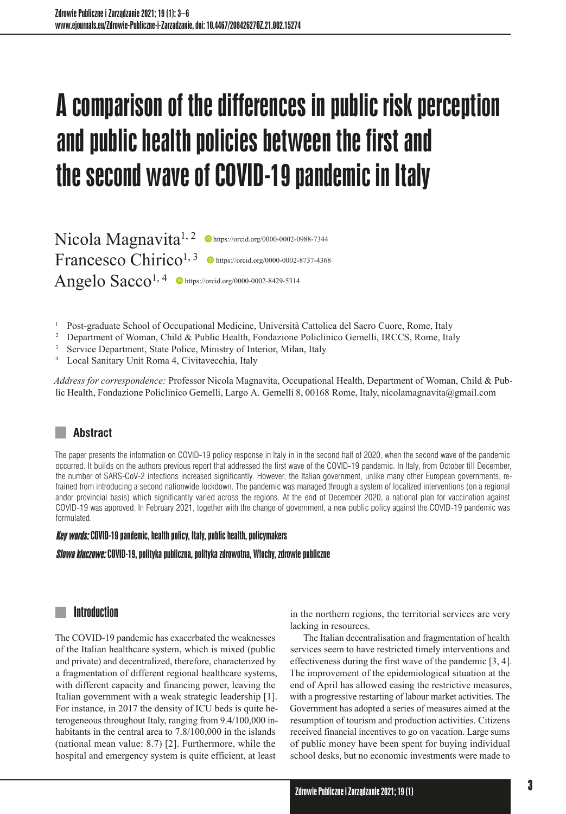# Acomparison of the differences in public risk perception and public health policies between the first and the second wave of COVID-19 pandemic in Italy

Nicola Magnavita<sup>1, 2</sup> **Interpretical Online 20000-0002-0988-7344** Francesco Chirico<sup>1, 3</sup>  $\bullet$  https://orcid.org/0000-0002-8737-4368 Angelo  $Sacco^{1, 4}$  **O** https://orcid.org/0000-0002-8429-5314

<sup>1</sup> Post-graduate School of Occupational Medicine, Università Cattolica del Sacro Cuore, Rome, Italy <sup>2</sup> Department of Woman, Child & Public Health, Fondazione Policlinico Gemelli, IRCCS, Rome, Italy

- 
- <sup>3</sup> Service Department, State Police, Ministry of Interior, Milan, Italy
- <sup>4</sup> Local Sanitary Unit Roma 4, Civitavecchia, Italy

*Address for correspondence:* Professor Nicola Magnavita, Occupational Health, Department of Woman, Child & Public Health, Fondazione Policlinico Gemelli, Largo A. Gemelli 8, 00168 Rome, Italy, nicolamagnavita@gmail.com

# **Abstract**

The paper presents the information on COVID-19 policy response in Italy in in the second half of 2020, when the second wave of the pandemic occurred. It builds on the authors previous report that addressed the first wave of the COVID-19 pandemic. In Italy, from October till December, the number of SARS-CoV-2 infections increased significantly. However, the Italian government, unlike many other European governments, refrained from introducing a second nationwide lockdown. The pandemic was managed through a system of localized interventions (on a regional andor provincial basis) which significantly varied across the regions. At the end of December 2020, a national plan for vaccination against COVID-19 was approved. In February 2021, together with the change of government, a new public policy against the COVID-19 pandemic was formulated.

#### **Key words:** COVID-19 pandemic, health policy, Italy, public health, policymakers

#### Słowa kluczowe: COVID-19, polityka publiczna, polityka zdrowotna, Włochy, zdrowie publiczne

#### Introduction

The COVID-19 pandemic has exacerbated the weaknesses of the Italian healthcare system, which is mixed (public and private) and decentralized, therefore, characterized by a fragmentation of different regional healthcare systems, with different capacity and financing power, leaving the Italian government with a weak strategic leadership [1]. For instance, in 2017 the density of ICU beds is quite heterogeneous throughout Italy, ranging from 9.4/100,000 inhabitants in the central area to 7.8/100,000 in the islands (national mean value: 8.7) [2]. Furthermore, while the hospital and emergency system is quite efficient, at least

in the northern regions, the territorial services are very lacking in resources.

The Italian decentralisation and fragmentation of health services seem to have restricted timely interventions and effectiveness during the first wave of the pandemic [3, 4]. The improvement of the epidemiological situation at the end of April has allowed easing the restrictive measures, with a progressive restarting of labour market activities. The Government has adopted a series of measures aimed at the resumption of tourism and production activities. Citizens received financial incentives to go on vacation. Large sums of public money have been spent for buying individual school desks, but no economic investments were made to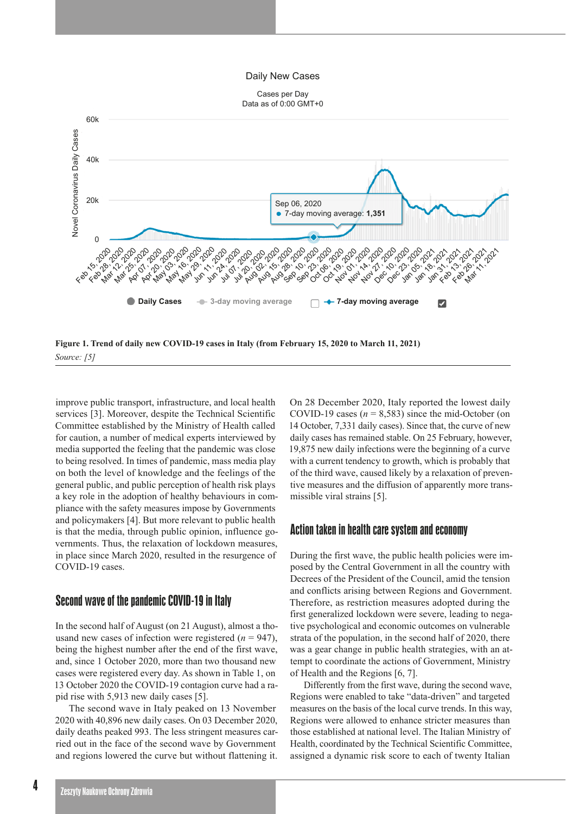#### Daily New Cases



improve public transport, infrastructure, and local health services [3]. Moreover, despite the Technical Scientific Committee established by the Ministry of Health called for caution, a number of medical experts interviewed by media supported the feeling that the pandemic was close to being resolved. In times of pandemic, mass media play on both the level of knowledge and the feelings of the general public, and public perception of health risk plays a key role in the adoption of healthy behaviours in compliance with the safety measures impose by Governments and policymakers [4]. But more relevant to public health is that the media, through public opinion, influence governments. Thus, the relaxation of lockdown measures, in place since March 2020, resulted in the resurgence of COVID-19 cases.

## Second wave of the pandemic COVID-19 in Italy

In the second half of August (on 21 August), almost a thousand new cases of infection were registered  $(n = 947)$ , being the highest number after the end of the first wave, and, since 1 October 2020, more than two thousand new cases were registered every day. As shown in Table 1, on 13 October 2020 the COVID-19 contagion curve had a rapid rise with 5,913 new daily cases [5].

The second wave in Italy peaked on 13 November 2020 with 40,896 new daily cases. On 03 December 2020, daily deaths peaked 993. The less stringent measures carried out in the face of the second wave by Government and regions lowered the curve but without flattening it. On 28 December 2020, Italy reported the lowest daily COVID-19 cases  $(n = 8,583)$  since the mid-October (on 14 October, 7,331 daily cases). Since that, the curve of new daily cases has remained stable. On 25 February, however, 19,875 new daily infections were the beginning of a curve with a current tendency to growth, which is probably that of the third wave, caused likely by a relaxation of preventive measures and the diffusion of apparently more transmissible viral strains [5].

#### Action taken in health care system and economy

During the first wave, the public health policies were imposed by the Central Government in all the country with Decrees of the President of the Council, amid the tension and conflicts arising between Regions and Government. Therefore, as restriction measures adopted during the first generalized lockdown were severe, leading to negative psychological and economic outcomes on vulnerable strata of the population, in the second half of 2020, there was a gear change in public health strategies, with an attempt to coordinate the actions of Government, Ministry of Health and the Regions [6, 7].

Differently from the first wave, during the second wave, Regions were enabled to take "data-driven" and targeted measures on the basis of the local curve trends. In this way, Regions were allowed to enhance stricter measures than those established at national level. The Italian Ministry of Health, coordinated by the Technical Scientific Committee, assigned a dynamic risk score to each of twenty Italian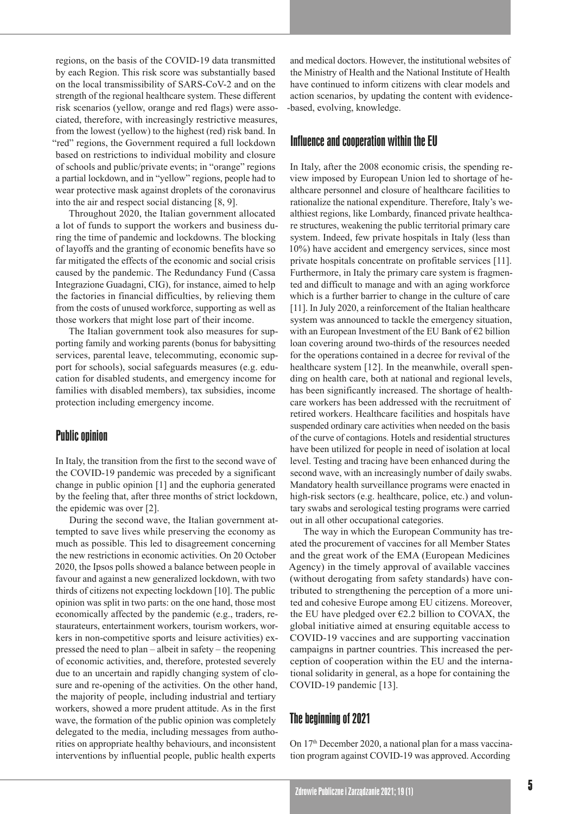regions, on the basis of the COVID-19 data transmitted by each Region. This risk score was substantially based on the local transmissibility of SARS-CoV-2 and on the strength of the regional healthcare system. These different risk scenarios (yellow, orange and red flags) were associated, therefore, with increasingly restrictive measures, from the lowest (yellow) to the highest (red) risk band. In "red" regions, the Government required a full lockdown based on restrictions to individual mobility and closure of schools and public/private events; in "orange" regions a partial lockdown, and in "yellow" regions, people had to wear protective mask against droplets of the coronavirus into the air and respect social distancing [8, 9].

Throughout 2020, the Italian government allocated a lot of funds to support the workers and business during the time of pandemic and lockdowns. The blocking of layoffs and the granting of economic benefits have so far mitigated the effects of the economic and social crisis caused by the pandemic. The Redundancy Fund (Cassa Integrazione Guadagni, CIG), for instance, aimed to help the factories in financial difficulties, by relieving them from the costs of unused workforce, supporting as well as those workers that might lose part of their income.

The Italian government took also measures for supporting family and working parents (bonus for babysitting services, parental leave, telecommuting, economic support for schools), social safeguards measures (e.g. education for disabled students, and emergency income for families with disabled members), tax subsidies, income protection including emergency income.

## Public opinion

In Italy, the transition from the first to the second wave of the COVID-19 pandemic was preceded by a significant change in public opinion [1] and the euphoria generated by the feeling that, after three months of strict lockdown, the epidemic was over [2].

During the second wave, the Italian government attempted to save lives while preserving the economy as much as possible. This led to disagreement concerning the new restrictions in economic activities. On 20 October 2020, the Ipsos polls showed a balance between people in favour and against a new generalized lockdown, with two thirds of citizens not expecting lockdown [10]. The public opinion was split in two parts: on the one hand, those most economically affected by the pandemic (e.g., traders, restaurateurs, entertainment workers, tourism workers, workers in non-competitive sports and leisure activities) expressed the need to plan – albeit in safety – the reopening of economic activities, and, therefore, protested severely due to an uncertain and rapidly changing system of closure and re-opening of the activities. On the other hand, the majority of people, including industrial and tertiary workers, showed a more prudent attitude. As in the first wave, the formation of the public opinion was completely delegated to the media, including messages from authorities on appropriate healthy behaviours, and inconsistent interventions by influential people, public health experts

and medical doctors. However, the institutional websites of the Ministry of Health and the National Institute of Health have continued to inform citizens with clear models and action scenarios, by updating the content with evidence- -based, evolving, knowledge.

# Influence and cooperation within the EU

In Italy, after the 2008 economic crisis, the spending review imposed by European Union led to shortage of healthcare personnel and closure of healthcare facilities to rationalize the national expenditure. Therefore, Italy's wealthiest regions, like Lombardy, financed private healthcare structures, weakening the public territorial primary care system. Indeed, few private hospitals in Italy (less than 10%) have accident and emergency services, since most private hospitals concentrate on profitable services [11]. Furthermore, in Italy the primary care system is fragmented and difficult to manage and with an aging workforce which is a further barrier to change in the culture of care [11]. In July 2020, a reinforcement of the Italian healthcare system was announced to tackle the emergency situation, with an European Investment of the EU Bank of €2 billion loan covering around two-thirds of the resources needed for the operations contained in a decree for revival of the healthcare system [12]. In the meanwhile, overall spending on health care, both at national and regional levels, has been significantly increased. The shortage of healthcare workers has been addressed with the recruitment of retired workers. Healthcare facilities and hospitals have suspended ordinary care activities when needed on the basis of the curve of contagions. Hotels and residential structures have been utilized for people in need of isolation at local level. Testing and tracing have been enhanced during the second wave, with an increasingly number of daily swabs. Mandatory health surveillance programs were enacted in high-risk sectors (e.g. healthcare, police, etc.) and voluntary swabs and serological testing programs were carried out in all other occupational categories.

The way in which the European Community has treated the procurement of vaccines for all Member States and the great work of the EMA (European Medicines Agency) in the timely approval of available vaccines (without derogating from safety standards) have contributed to strengthening the perception of a more united and cohesive Europe among EU citizens. Moreover, the EU have pledged over  $\epsilon$ 2.2 billion to COVAX, the global initiative aimed at ensuring equitable access to COVID-19 vaccines and are supporting vaccination campaigns in partner countries. This increased the perception of cooperation within the EU and the international solidarity in general, as a hope for containing the COVID-19 pandemic [13].

## The beginning of 2021

On 17th December 2020, a national plan for a mass vaccination program against COVID-19 was approved. According